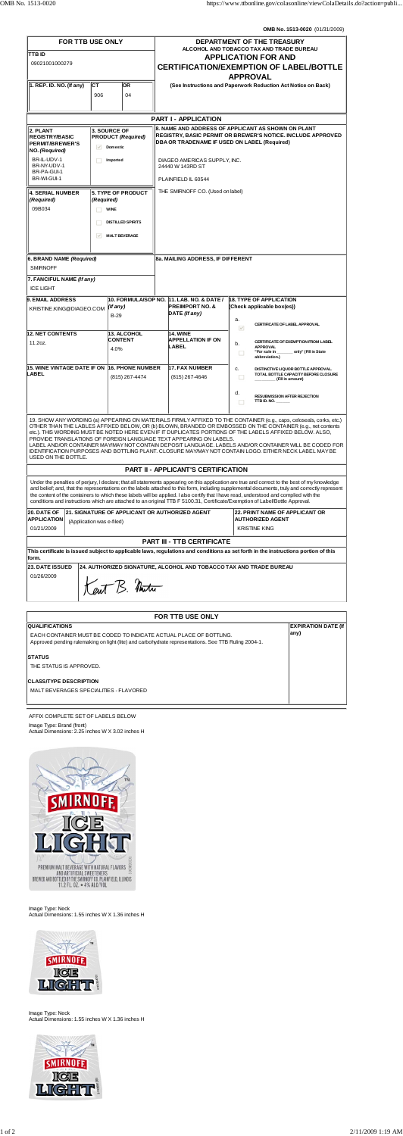**OMB No. 1513-0020** (01/31/2009)

| FOR TTB USE ONLY                                                                                                                                                                                                                                                                                                                                                                                                                                                                                                                                                                                                                                                 |                           |                                                                                                                                            |  | DEPARTMENT OF THE TREASURY                                                               |                                                                                                                                                                                                                                                                                                                                                                                                                                                                                                                                                                           |  |  |
|------------------------------------------------------------------------------------------------------------------------------------------------------------------------------------------------------------------------------------------------------------------------------------------------------------------------------------------------------------------------------------------------------------------------------------------------------------------------------------------------------------------------------------------------------------------------------------------------------------------------------------------------------------------|---------------------------|--------------------------------------------------------------------------------------------------------------------------------------------|--|------------------------------------------------------------------------------------------|---------------------------------------------------------------------------------------------------------------------------------------------------------------------------------------------------------------------------------------------------------------------------------------------------------------------------------------------------------------------------------------------------------------------------------------------------------------------------------------------------------------------------------------------------------------------------|--|--|
| TTB ID                                                                                                                                                                                                                                                                                                                                                                                                                                                                                                                                                                                                                                                           |                           |                                                                                                                                            |  | ALCOHOL AND TOBACCO TAX AND TRADE BUREAU<br><b>APPLICATION FOR AND</b>                   |                                                                                                                                                                                                                                                                                                                                                                                                                                                                                                                                                                           |  |  |
| 09021001000279                                                                                                                                                                                                                                                                                                                                                                                                                                                                                                                                                                                                                                                   |                           |                                                                                                                                            |  | <b>CERTIFICATION/EXEMPTION OF LABEL/BOTTLE</b>                                           |                                                                                                                                                                                                                                                                                                                                                                                                                                                                                                                                                                           |  |  |
|                                                                                                                                                                                                                                                                                                                                                                                                                                                                                                                                                                                                                                                                  |                           |                                                                                                                                            |  | <b>APPROVAL</b>                                                                          |                                                                                                                                                                                                                                                                                                                                                                                                                                                                                                                                                                           |  |  |
| $ 1.$ REP. ID. NO. (If any)                                                                                                                                                                                                                                                                                                                                                                                                                                                                                                                                                                                                                                      | СT<br>906                 | <b>OR</b><br>04                                                                                                                            |  |                                                                                          | (See Instructions and Paperwork Reduction Act Notice on Back)                                                                                                                                                                                                                                                                                                                                                                                                                                                                                                             |  |  |
|                                                                                                                                                                                                                                                                                                                                                                                                                                                                                                                                                                                                                                                                  |                           |                                                                                                                                            |  |                                                                                          |                                                                                                                                                                                                                                                                                                                                                                                                                                                                                                                                                                           |  |  |
| <b>PART I - APPLICATION</b>                                                                                                                                                                                                                                                                                                                                                                                                                                                                                                                                                                                                                                      |                           |                                                                                                                                            |  |                                                                                          |                                                                                                                                                                                                                                                                                                                                                                                                                                                                                                                                                                           |  |  |
| 2. PLANT<br><b>REGISTRY/BASIC</b><br><b>PERMIT/BREWER'S</b><br>NO. (Required)                                                                                                                                                                                                                                                                                                                                                                                                                                                                                                                                                                                    | $\overline{\mathcal{S}}$  | <b>3. SOURCE OF</b><br><b>PRODUCT (Required)</b><br><b>Domestic</b>                                                                        |  |                                                                                          | 8. NAME AND ADDRESS OF APPLICANT AS SHOWN ON PLANT<br>REGISTRY, BASIC PERMIT OR BREWER'S NOTICE. INCLUDE APPROVED<br>DBA OR TRADENAME IF USED ON LABEL (Required)                                                                                                                                                                                                                                                                                                                                                                                                         |  |  |
| BR-IL-UDV-1<br>BR-NY-UDV-1<br>BR-PA-GUI-1                                                                                                                                                                                                                                                                                                                                                                                                                                                                                                                                                                                                                        |                           | Imported                                                                                                                                   |  | DIAGEO AMERICAS SUPPLY, INC.<br>24440 W 143RD ST                                         |                                                                                                                                                                                                                                                                                                                                                                                                                                                                                                                                                                           |  |  |
| BR-WI-GUI-1                                                                                                                                                                                                                                                                                                                                                                                                                                                                                                                                                                                                                                                      |                           |                                                                                                                                            |  | PLAINFIELD IL 60544                                                                      |                                                                                                                                                                                                                                                                                                                                                                                                                                                                                                                                                                           |  |  |
| <b>4. SERIAL NUMBER</b><br>(Required)                                                                                                                                                                                                                                                                                                                                                                                                                                                                                                                                                                                                                            | (Required)                | <b>5. TYPE OF PRODUCT</b>                                                                                                                  |  | THE SMIRNOFF CO. (Used on label)                                                         |                                                                                                                                                                                                                                                                                                                                                                                                                                                                                                                                                                           |  |  |
| 09B034                                                                                                                                                                                                                                                                                                                                                                                                                                                                                                                                                                                                                                                           | <b>WINE</b>               |                                                                                                                                            |  |                                                                                          |                                                                                                                                                                                                                                                                                                                                                                                                                                                                                                                                                                           |  |  |
|                                                                                                                                                                                                                                                                                                                                                                                                                                                                                                                                                                                                                                                                  | <b>DISTILLED SPIRITS</b>  |                                                                                                                                            |  |                                                                                          |                                                                                                                                                                                                                                                                                                                                                                                                                                                                                                                                                                           |  |  |
|                                                                                                                                                                                                                                                                                                                                                                                                                                                                                                                                                                                                                                                                  | $\checkmark$              | <b>MALT BEVERAGE</b>                                                                                                                       |  |                                                                                          |                                                                                                                                                                                                                                                                                                                                                                                                                                                                                                                                                                           |  |  |
| 6. BRAND NAME (Required)<br><b>SMIRNOFF</b>                                                                                                                                                                                                                                                                                                                                                                                                                                                                                                                                                                                                                      |                           |                                                                                                                                            |  | 8a. MAILING ADDRESS, IF DIFFERENT                                                        |                                                                                                                                                                                                                                                                                                                                                                                                                                                                                                                                                                           |  |  |
| 7. FANCIFUL NAME (If any)                                                                                                                                                                                                                                                                                                                                                                                                                                                                                                                                                                                                                                        |                           |                                                                                                                                            |  |                                                                                          |                                                                                                                                                                                                                                                                                                                                                                                                                                                                                                                                                                           |  |  |
| <b>ICE LIGHT</b>                                                                                                                                                                                                                                                                                                                                                                                                                                                                                                                                                                                                                                                 |                           |                                                                                                                                            |  |                                                                                          |                                                                                                                                                                                                                                                                                                                                                                                                                                                                                                                                                                           |  |  |
| <b>9. EMAIL ADDRESS</b><br>KRISTINE.KING@DIAGEO.COM                                                                                                                                                                                                                                                                                                                                                                                                                                                                                                                                                                                                              |                           | $($ f any $)$<br>$B-29$                                                                                                                    |  | 10. FORMULA/SOP NO. 11. LAB. NO. & DATE /<br><b>PREIMPORT NO. &amp;</b><br>DATE (If any) | <b>18. TYPE OF APPLICATION</b><br>(Check applicable box(es))                                                                                                                                                                                                                                                                                                                                                                                                                                                                                                              |  |  |
|                                                                                                                                                                                                                                                                                                                                                                                                                                                                                                                                                                                                                                                                  |                           |                                                                                                                                            |  |                                                                                          | a.<br>CERTIFICATE OF LABEL APPROVAL<br>$\vee$                                                                                                                                                                                                                                                                                                                                                                                                                                                                                                                             |  |  |
| <b>12. NET CONTENTS</b>                                                                                                                                                                                                                                                                                                                                                                                                                                                                                                                                                                                                                                          |                           | 13. ALCOHOL<br><b>CONTENT</b>                                                                                                              |  | <b>14. WINE</b><br><b>APPELLATION IF ON</b>                                              |                                                                                                                                                                                                                                                                                                                                                                                                                                                                                                                                                                           |  |  |
| 11.2oz.                                                                                                                                                                                                                                                                                                                                                                                                                                                                                                                                                                                                                                                          |                           | 4.0%                                                                                                                                       |  | LABEL                                                                                    | CERTIFICATE OF EXEMPTION FROM LABEL<br>b.<br><b>APPROVAL</b><br>"For sale in _<br>______ only" (Fill in State<br>□<br>abbreviation.)                                                                                                                                                                                                                                                                                                                                                                                                                                      |  |  |
| 15. WINE VINTAGE DATE IF ON<br>LABEL                                                                                                                                                                                                                                                                                                                                                                                                                                                                                                                                                                                                                             |                           | <b>16. PHONE NUMBER</b>                                                                                                                    |  | 17. FAX NUMBER                                                                           | c.<br>DISTINCTIVE LIQUOR BOTTLE APPROVAL.<br>TOTAL BOTTLE CAPACITY BEFORE CLOSURE                                                                                                                                                                                                                                                                                                                                                                                                                                                                                         |  |  |
|                                                                                                                                                                                                                                                                                                                                                                                                                                                                                                                                                                                                                                                                  |                           | (815) 267-4474                                                                                                                             |  | (815) 267-4646                                                                           | □<br>(Fill in amount)                                                                                                                                                                                                                                                                                                                                                                                                                                                                                                                                                     |  |  |
|                                                                                                                                                                                                                                                                                                                                                                                                                                                                                                                                                                                                                                                                  |                           |                                                                                                                                            |  |                                                                                          | d.<br><b>RESUBMISSION AFTER REJECTION</b><br>TTB ID. NO. $\frac{1}{2}$<br>П                                                                                                                                                                                                                                                                                                                                                                                                                                                                                               |  |  |
| 19. SHOW ANY WORDING (a) APPEARING ON MATERIALS FIRMLY AFFIXED TO THE CONTAINER (e.g., caps, celoseals, corks, etc.)<br>OTHER THAN THE LABLES AFFIXED BELOW, OR (b) BLOWN, BRANDED OR EMBOSSED ON THE CONTAINER (e.g., net contents<br>etc.). THIS WORDING MUST BE NOTED HERE EVEN IF IT DUPLICATES PORTIONS OF THE LABELS AFFIXED BELOW. ALSO,<br>PROVIDE TRANSLATIONS OF FOREIGN LANGUAGE TEXT APPEARING ON LABELS.<br>LABEL AND/OR CONTAINER MAY/MAY NOT CONTAIN DEPOSIT LANGUAGE. LABELS AND/OR CONTAINER WILL BE CODED FOR<br>IDENTIFICATION PURPOSES AND BOTTLING PLANT. CLOSURE MAY/MAY NOT CONTAIN LOGO. EITHER NECK LABEL MAY BE<br>USED ON THE BOTTLE. |                           |                                                                                                                                            |  |                                                                                          |                                                                                                                                                                                                                                                                                                                                                                                                                                                                                                                                                                           |  |  |
|                                                                                                                                                                                                                                                                                                                                                                                                                                                                                                                                                                                                                                                                  |                           |                                                                                                                                            |  | <b>PART II - APPLICANT'S CERTIFICATION</b>                                               |                                                                                                                                                                                                                                                                                                                                                                                                                                                                                                                                                                           |  |  |
|                                                                                                                                                                                                                                                                                                                                                                                                                                                                                                                                                                                                                                                                  |                           |                                                                                                                                            |  |                                                                                          | Under the penalties of perjury, I declare; that all statements appearing on this application are true and correct to the best of my knowledge<br>and belief; and, that the representations on the labels attached to this form, including supplemental documents, truly and correctly represent<br>the content of the containers to which these labels will be applied. I also certify that I have read, understood and complied with the<br>conditions and instructions which are attached to an original TTB F 5100.31, Certificate/Exemption of Label/Bottle Approval. |  |  |
| 20. DATE OF<br><b>APPLICATION</b><br>01/21/2009                                                                                                                                                                                                                                                                                                                                                                                                                                                                                                                                                                                                                  | (Application was e-filed) | 21. SIGNATURE OF APPLICANT OR AUTHORIZED AGENT<br><b>22. PRINT NAME OF APPLICANT OR</b><br><b>AUTHORIZED AGENT</b><br><b>KRISTINE KING</b> |  |                                                                                          |                                                                                                                                                                                                                                                                                                                                                                                                                                                                                                                                                                           |  |  |
| <b>PART III - TTB CERTIFICATE</b>                                                                                                                                                                                                                                                                                                                                                                                                                                                                                                                                                                                                                                |                           |                                                                                                                                            |  |                                                                                          |                                                                                                                                                                                                                                                                                                                                                                                                                                                                                                                                                                           |  |  |
| This certificate is issued subject to applicable laws, regulations and conditions as set forth in the instructions portion of this                                                                                                                                                                                                                                                                                                                                                                                                                                                                                                                               |                           |                                                                                                                                            |  |                                                                                          |                                                                                                                                                                                                                                                                                                                                                                                                                                                                                                                                                                           |  |  |
| lform.<br><b>23. DATE ISSUED</b><br>24. AUTHORIZED SIGNATURE, ALCOHOL AND TOBACCO TAX AND TRADE BUREAU                                                                                                                                                                                                                                                                                                                                                                                                                                                                                                                                                           |                           |                                                                                                                                            |  |                                                                                          |                                                                                                                                                                                                                                                                                                                                                                                                                                                                                                                                                                           |  |  |
| 01/26/2009                                                                                                                                                                                                                                                                                                                                                                                                                                                                                                                                                                                                                                                       |                           |                                                                                                                                            |  |                                                                                          |                                                                                                                                                                                                                                                                                                                                                                                                                                                                                                                                                                           |  |  |
| $K_{\text{a}}+R_{\text{a}}$                                                                                                                                                                                                                                                                                                                                                                                                                                                                                                                                                                                                                                      |                           |                                                                                                                                            |  |                                                                                          |                                                                                                                                                                                                                                                                                                                                                                                                                                                                                                                                                                           |  |  |



| <b>FOR TTB USE ONLY</b>                                                                                                                                                                             |                                    |  |  |  |  |  |
|-----------------------------------------------------------------------------------------------------------------------------------------------------------------------------------------------------|------------------------------------|--|--|--|--|--|
| <b>QUALIFICATIONS</b><br>EACH CONTAINER MUST BE CODED TO INDICATE ACTUAL PLACE OF BOTTLING.<br>Approved pending rulemaking on light (lite) and carbohydrate representations. See TTB Ruling 2004-1. | <b>EXPIRATION DATE (If</b><br>any) |  |  |  |  |  |
| <b>STATUS</b><br>THE STATUS IS APPROVED.                                                                                                                                                            |                                    |  |  |  |  |  |
| <b>CLASS/TYPE DESCRIPTION</b><br>MALT BEVERAGES SPECIALITIES - FLAVORED                                                                                                                             |                                    |  |  |  |  |  |
|                                                                                                                                                                                                     |                                    |  |  |  |  |  |

AFFIX COMPLETE SET OF LABELS BELOW Image Type: Brand (front) Actual Dimensions: 2.25 inches W X 3.02 inches H



Image Type: Neck Actual Dimensions: 1.55 inches W X 1.36 inches H



Image Type: Neck Actual Dimensions: 1.55 inches W X 1.36 inches H